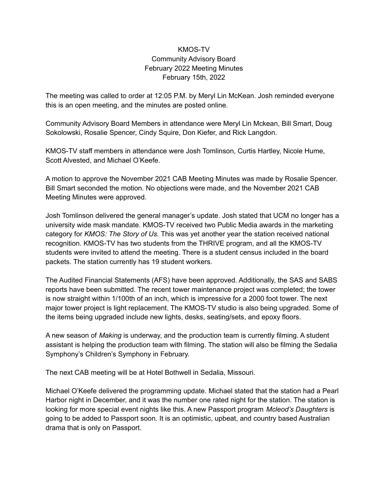## KMOS-TV Community Advisory Board February 2022 Meeting Minutes February 15th, 2022

The meeting was called to order at 12:05 P.M. by Meryl Lin McKean. Josh reminded everyone this is an open meeting, and the minutes are posted online.

Community Advisory Board Members in attendance were Meryl Lin Mckean, Bill Smart, Doug Sokolowski, Rosalie Spencer, Cindy Squire, Don Kiefer, and Rick Langdon.

KMOS-TV staff members in attendance were Josh Tomlinson, Curtis Hartley, Nicole Hume, Scott Alvested, and Michael O'Keefe.

A motion to approve the November 2021 CAB Meeting Minutes was made by Rosalie Spencer. Bill Smart seconded the motion. No objections were made, and the November 2021 CAB Meeting Minutes were approved.

Josh Tomlinson delivered the general manager's update. Josh stated that UCM no longer has a university wide mask mandate. KMOS-TV received two Public Media awards in the marketing category for *KMOS: The Story of Us.* This was yet another year the station received national recognition. KMOS-TV has two students from the THRIVE program, and all the KMOS-TV students were invited to attend the meeting. There is a student census included in the board packets. The station currently has 19 student workers.

The Audited Financial Statements (AFS) have been approved. Additionally, the SAS and SABS reports have been submitted. The recent tower maintenance project was completed; the tower is now straight within 1/100th of an inch, which is impressive for a 2000 foot tower. The next major tower project is light replacement. The KMOS-TV studio is also being upgraded. Some of the items being upgraded include new lights, desks, seating/sets, and epoxy floors.

A new season of *Making* is underway, and the production team is currently filming. A student assistant is helping the production team with filming. The station will also be filming the Sedalia Symphony's Children's Symphony in February.

The next CAB meeting will be at Hotel Bothwell in Sedalia, Missouri.

Michael O'Keefe delivered the programming update. Michael stated that the station had a Pearl Harbor night in December, and it was the number one rated night for the station. The station is looking for more special event nights like this. A new Passport program *Mcleod's Daughters* is going to be added to Passport soon. It is an optimistic, upbeat, and country based Australian drama that is only on Passport.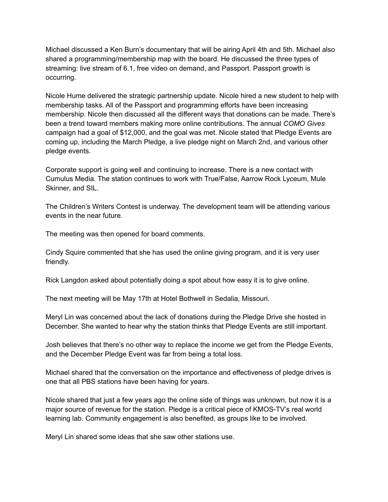Michael discussed a Ken Burn's documentary that will be airing April 4th and 5th. Michael also shared a programming/membership map with the board. He discussed the three types of streaming: live stream of 6.1, free video on demand, and Passport. Passport growth is occurring.

Nicole Hume delivered the strategic partnership update. Nicole hired a new student to help with membership tasks. All of the Passport and programming efforts have been increasing membership. Nicole then discussed all the different ways that donations can be made. There's been a trend toward members making more online contributions. The annual *COMO Gives* campaign had a goal of \$12,000, and the goal was met. Nicole stated that Pledge Events are coming up, including the March Pledge, a live pledge night on March 2nd, and various other pledge events.

Corporate support is going well and continuing to increase. There is a new contact with Cumulus Media. The station continues to work with True/False, Aarrow Rock Lyceum, Mule Skinner, and SIL.

The Children's Writers Contest is underway. The development team will be attending various events in the near future.

The meeting was then opened for board comments.

Cindy Squire commented that she has used the online giving program, and it is very user friendly.

Rick Langdon asked about potentially doing a spot about how easy it is to give online.

The next meeting will be May 17th at Hotel Bothwell in Sedalia, Missouri.

Meryl Lin was concerned about the lack of donations during the Pledge Drive she hosted in December. She wanted to hear why the station thinks that Pledge Events are still important.

Josh believes that there's no other way to replace the income we get from the Pledge Events, and the December Pledge Event was far from being a total loss.

Michael shared that the conversation on the importance and effectiveness of pledge drives is one that all PBS stations have been having for years.

Nicole shared that just a few years ago the online side of things was unknown, but now it is a major source of revenue for the station. Pledge is a critical piece of KMOS-TV's real world learning lab. Community engagement is also benefited, as groups like to be involved.

Meryl Lin shared some ideas that she saw other stations use.